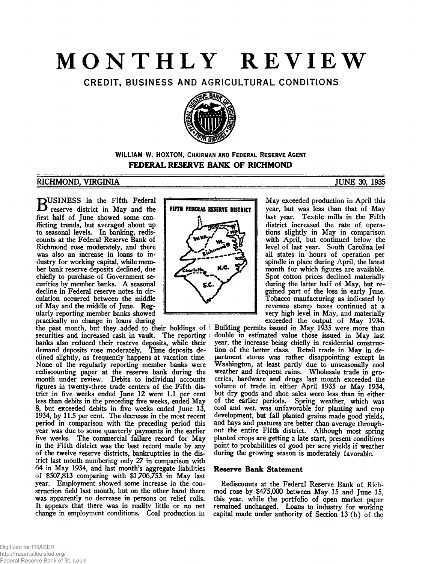# **MONTHLY REVIEW**

CREDIT, BUSINESS AND AGRICULTURAL CONDITIONS



# **WILLIAM W. HOXTON, CHAIRMAN AND FEDERAL RESERVE AGENT FEDERAL RESERVE BANK OF RICHMOND**

# RICHMOND, VIRGINIA TUNE 30, 1935

**BUSINESS** in the Fifth Federal<br>
reserve district in May and the reserve district in May and the first half of June showed some conflicting trends, but averaged about up to seasonal levels. In banking, rediscounts at the Federal Reserve Bank of Richmond rose moderately, and there was also an increase in loans to industry for working capital, while member bank reserve deposits declined, due chiefly to purchase of Government securities by member banks. A seasonal decline in Federal reserve notes in circulation occurred between the middle of May and the middle of June. Regularly reporting member banks showed practically no change in loans during

the past month, but they added to their holdings of i securities and increased cash in vault. The reporting i banks also reduced their reserve deposits, while their demand deposits rose moderately. Time deposits declined slightly, as frequently happens at vacation time. None of the regularly reporting member banks were rediscounting paper at the reserve bank during the month under review. Debits to individual accounts figures in twenty-three trade centers of the Fifth district in five weeks ended June 12 were 1.1 per cent less than debits in the preceding five weeks, ended May 8, but exceeded debits in five weeks ended June 13, 1934, by 11.5 per cent. The decrease in the most recent period in comparison with the preceding period this year was due to some quarterly payments in the earlier five weeks. The commercial failure record for May in the Fifth district was the best record made by any of the twelve reserve districts, bankruptcies in the district last month numbering only 27 in comparison with 64 in May 1934, and last month's aggregate liabilities of \$507,813 comparing with \$1,706,753 in May last year. Employment showed some increase in the construction field last month, but on the other hand there was apparently no decrease in persons on relief rolls. It appears that there was in reality little or no net change in employment conditions. Coal production in



May exceeded production in April this year, but was less than that of May last year. Textile mills in the Fifth district increased the rate of operations slightly in May in comparison with April, but continued below the level of last year. South Carolina led all states in hours of operation per spindle in place during April, the latest month for which figures are available. Spot cotton prices declined materially during the latter half of May, but regained part of the loss in early June. Tobacco maufacturing as indicated by revenue stamp taxes continued at a<br>very high level in May, and materially very high level in May, and materially

exceeded the output of May 1934. Building permits issued in May 1935 were more than double in estimated value those issued in May last year, the increase being chiefly in residential construction of the better class. Retail trade in May in department stores was rather disappointing except in Washington, at least partly due to unseasonally cool weather and frequent rains. Wholesale trade in groceries, hardware and drugs last month exceeded the volume of trade in either April 1935 or May 1934, but dry goods and shoe sales were less than in either of the earlier periods. Spring weather, which was cool and wet, was unfavorable for planting and crop development, but fall planted grains made good yields, and hays and pastures are better than average throughout the entire Fifth district. Although most spring planted crops are getting a late start, present conditions point to probabilities of good per acre yields if weather during the growing season is moderately favorable.

# **Reserve Bank Statement**

Rediscounts at the Federal Reserve Bank of Richmod rose by \$475,000 between May 15 and June 15, this year, while the portfolio of open market paper remained unchanged. Loans to industry for working capital made under authority of Section 13 (b) of the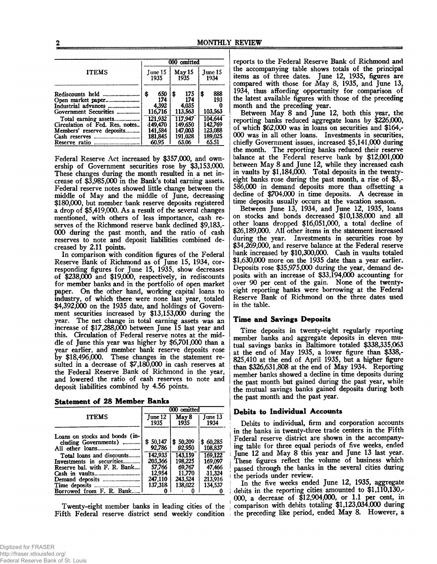|                                                                                                                                                                                                | 000 omitted                                                                               |                                                                                           |                                                                                  |  |  |
|------------------------------------------------------------------------------------------------------------------------------------------------------------------------------------------------|-------------------------------------------------------------------------------------------|-------------------------------------------------------------------------------------------|----------------------------------------------------------------------------------|--|--|
| <b>ITEMS</b>                                                                                                                                                                                   | June 15<br>1935                                                                           | May 15<br>1935                                                                            | Tune 15<br>1934                                                                  |  |  |
| Industrial advances <i></i><br>Government Securities<br>Total earning assets<br>Circulation of Fed. Res. notes<br>Members' reserve deposits<br>Cash reserves<br>------------------------------ | 650<br>ß.<br>174<br>4.392<br>116,716<br>121.932<br>149,470<br>141.584<br>181.845<br>60.95 | 175<br>\$<br>174<br>4,035<br>113,563<br>117.947<br>149.650<br>147.003<br>191,028<br>63.06 | 888<br>\$<br>193<br>103.563<br>104.644<br>142,769<br>123.088<br>189,025<br>65.51 |  |  |

Federal Reserve Act increased by \$357,000, and ownership of Government securities rose by \$3,153,000. These changes during the month resulted in a net increase of \$3,985,000 in the Bank's total earning assets. Federal reserve notes showed little change between the middle of May and the middle of June, decreasing \$180,000, but member bank reserve deposits registered a drop of \$5,419,000. As a result of the several changes mentioned, with others of less importance, cash reserves of the Richmond reserve bank declined \$9,183,- 000 during the past month, and the ratio of cash reserves to note and deposit liabilities combined decreased by 2.11 points.

In comparison with condition figures of the Federal Reserve Bank of Richmond as of June 15, 1934, corresponding figures for June 15, 1935, show decreases of \$238,COO and \$19,000, respectively, in rediscounts for member banks and in the portfolio of open market paper. On the other hand, working capital loans to industry, of which there were none last year, totaled \$4,392,000 on the 1935 date, and holdings of Government securities increased by \$13,153,000 during the year. The net change in total earning assets was an increase of \$17,288,000 between June 15 last year and this. Circulation of Federal reserve notes at the middle of June this year was higher by \$6,701,000 than a year earlier, and member bank reserve deposits rose by \$18,496,000. These changes in the statement resulted in a decrease of \$7,180,000 in cash reserves at the Federal Reserve Bank of Richmond in the year, and lowered the ratio of cash reserves to note and deposit liabilities combined by 4.56 points.

| <b>Statement of 28 Member Banks</b> |  |  |
|-------------------------------------|--|--|
|                                     |  |  |

|                                                        | 000 omitted        |                    |                     |  |  |
|--------------------------------------------------------|--------------------|--------------------|---------------------|--|--|
| <b>ITEMS</b>                                           | June 12<br>1935    | May 8<br>1935      | June 13<br>1934     |  |  |
| Loans on stocks and bonds (in-                         |                    |                    |                     |  |  |
| cluding Governments)                                   | \$50.147<br>92,786 | \$50,209<br>92,950 | \$60,285<br>108.837 |  |  |
| Total loans and discounts<br>Investments in securities | 142,933<br>203,366 | 143.159<br>198,225 | 169,122<br>169,097  |  |  |
| Reserve bal. with F. R. Bank                           | 57.766             | 69.767             | 47,466              |  |  |
| Cash in vaults<br>--------------------------           | 12.954<br>247,110  | 11,770<br>243.524  | 11.324<br>213.916   |  |  |
|                                                        | 137.318            | 138.022            | 134.537             |  |  |
| Borrowed from F. R. Bank.                              |                    |                    |                     |  |  |

Twenty-eight member banks in leading cities of the Fifth Federal reserve district send weekly condition

reports to the Federal Reserve Bank of Richmond and the accompanying table shows totals of the principal items as of three dates. June 12, 1935, figures are compared with those for (May 8, 1935, and June 13, 1934, thus affording opportunity for comparison of the latest available figures with those of the preceding month and the preceding year.

Between May 8 and June 12, both this year, the reporting banks reduced aggregate loans by \$226,000, of which \$62,000 was in loans on securities and \$164,- 000 was in all other loans. Investments in securities, chiefly Government issues, increased \$5,141,000 during the month. The reporting banks reduced their reserve balance at the Federal reserve bank by \$12,001,000 between May 8 and June 12, while they increased cash in vaults by \$1,184,000. Total deposits in the twentyeight banks rose during the past month, a rise of \$3,- 5&),000 in demand deposits more than offsetting a decline of \$704,000 in time deposits. A decrease in time deposits usually occurs at the vacation season.

Between June 13, 1934, and June 12, 1935, loans on stocks and bonds decreased \$10,138,000 and all other loans dropped \$16,051,000, a total decline of \$26,189,000. All other items in the statement increased during the year. Investments in securities rose by \$34,269,000, and reserve balance at the Federal reserve bank increased by \$10,300,000. Cash in vaults totaled \$1,630,000 more on the 1935 date than a year earlier. Deposits rose \$35,975,000 during the year, demand deposits with an increase of \$33,194,000 accounting for over 90 per cent of the gain. None of the twentyeight reporting banks were borrowing at the Federal Reserve Bank of Richmond on the three dates used in the table.

# **Time and Savings Deposits**

Time deposits in twenty-eight regularly reporting member banks and aggregate deposits in eleven mutual savings banks in Baltimore totaled \$338,335,063 at the end of May 1935, a lower figure than \$338,- 825,410 at the end of April 1935, but a higher figure than \$326,631,808 at the end of May 1934. Reporting member banks showed a decline in time deposits during the past month but gained during the past year, while the mutual savings banks gained deposits during both the past month and the past year.

# **| Debits to Individual Accounts**

Debits to individual, firm and corporation accounts *\* in the banks in twenty-three trade centers in the Fifth ! Federal reserve district are shown in the accompany ing table for three equal periods of five weeks, ended June 12 and May 8 this year and June 13 last year. These figures reflect the volume of business which passed through the banks in the several cities during the periods under review.

In the five weeks ended June 12, 1935, aggregate debits in the reporting cities amounted to  $$1,110,130,$ -000, a decrease of \$12,904,000, or 1.1 per cent, in comparison with debits totaling \$1,123,034,000 during the preceding like period, ended May 8. However, a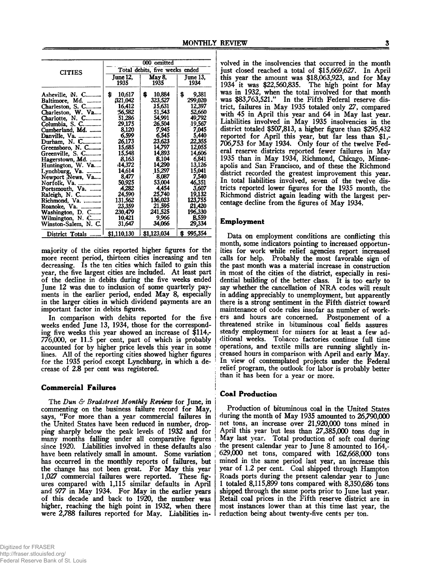|                                   | 000 omitted                    |                          |                               |  |  |
|-----------------------------------|--------------------------------|--------------------------|-------------------------------|--|--|
| <b>CITIES</b>                     | Total debits, five weeks ended |                          |                               |  |  |
|                                   | June $12$ .                    | May 8.                   | <b>June 13.</b>               |  |  |
|                                   | 1935                           | 1935                     | 1934                          |  |  |
| Asheville, N. C<br>Baltimore, Md. | s<br>10,617<br>321.042         | \$.<br>10,884<br>323,527 | \$<br>9,381<br><b>299,020</b> |  |  |
| Charleston, S. C                  | 16,412                         | 15,631                   | 12,397                        |  |  |
| Charleston, W. Va                 | 56,582                         | 51,543                   | 52,660                        |  |  |
| Charlotte, N. C                   | 51,286                         | 54,991                   | 49,792                        |  |  |
| Columbia, S. C                    | 29,175                         | 26,504                   | 19,567                        |  |  |
| Cumberland, Md.                   | 8.120                          | 7.945                    | 7,045                         |  |  |
| Danville, Va.                     | 6,599                          | 6.545                    | 5,440                         |  |  |
| Durham, N. C                      | 26,173                         | 23,623                   | 22.355                        |  |  |
| Greensboro, N. C                  | 15,685                         | 14,797                   | 12,055                        |  |  |
| Greenville, S. C                  | 15,548                         | 14,893                   | 14,606                        |  |  |
| Hagerstown, Md.                   | 8.163                          | 8.104                    | 6.841                         |  |  |
| Huntington, W. Va                 | $-14,372$                      | 14.290                   | 13,126                        |  |  |
| Lynchburg, Va.                    | 14,614                         | 15,297                   | 15,041                        |  |  |
| Newport News, Va                  | 8,477                          | 8.087                    | 7.540                         |  |  |
| Norfolk. Va.                      | 50,925                         | 53,004                   | 46,351                        |  |  |
| Portsmouth, Va.                   | A.282                          | 4.454                    | 3,607                         |  |  |
| Raleigh, N. C                     | 24,590                         | 25,740                   | 19,132                        |  |  |
| Richmond, Va.                     | 131,562                        | 136,023                  | 123,755                       |  |  |
| Roanoke, Va.                      | 23,359                         | 21,595                   | 21,420                        |  |  |
| Washington, D. C                  | 230,479                        | 241,525                  | 196.330                       |  |  |
| Wilmington, N. C                  | 10.421                         | 9,966                    | <b>B.559</b>                  |  |  |
| Winston-Salem, N. C.              | 31,647                         | 34,066                   | 29,334                        |  |  |
| District Totals                   | \$1,110,130                    | \$1,123,034              | 995,354<br>S                  |  |  |

majority of the cities reported higher figures for the more recent period, thirteen cities increasing and ten decreasing. Is the ten cities which failed to gain this year, the five largest cities are included. At least part of the decline in debits during the five weeks ended June 12 was due to inclusion of some quarterly payments in the earlier period, ended May 8, especially in the larger cities in which dividend payments are an important factor in debits figures.

In comparison with debits reported for the five weeks ended June 13, 1934, those for the corresponding five weeks this year showed an increase of \$114,- 776,000, or 11.5 per cent, part of which is probably accounted for by higher price levels this year in some lines. All of the reporting cities showed higher figures for the 1935 period except Lynchburg, in which a decrease of 2.8 per cent was registered.

#### **Commercial Failures !**

The *Dun & Bradstreet Monthly Review* for June, in commenting on the business failure record for May, says, "For more than a year commercial failures in the United States have been reduced in number, dropping sharply below the peak levels of 1932 and for many months falling under all comparative figures since 1920. Liabilities involved in these defaults also have been relatively small in amount. Some variation has occurred in the monthly reports of failures, but the change has not been great. For May this year 1,027 commercial failures were reported. These figures compared with 1,115 similar defaults in April and 9*77* in May 1934. For May in the earlier years of this decade and back to 1920, the number was higher, reaching the high point in 1932, when there were 2,788 failures reported for May. Liabilities involved in the insolvencies that occurred in the month just closed reached a total of \$15,669,627. In April this year the amount was \$18,063,923, and for May 1934 it was \$22,560,835. The high point for May was in 1932, when the total involved for that month was \$83,763,521." In the Fifth Federal reserve district, failures in May 1935 totaled only 27, compared with 45 in April this year and 64 in May last year. Liabilities involved in May 1935 insolvencies in the district totaled \$507,813, a higher figure than \$295,432 reported for April this year, but far less than \$1,- 706,753 for May 1934. Only four of the twelve Federal reserve districts reported fewer failures in May 1935 than in May 1934, Richmond, Chicago, Minneapolis and San Francisco, and of these the Richmond district recorded the greatest improvement this year. In total liabilities involved, seven of the twelve districts reported lower figures for the 1935 month, the Richmond district again leading with the largest percentage decline from the figures of May 1934.

#### **Employment**

Data on employment conditions are conflicting this month, some indicators pointing to increased opportunities for work while relief agencies report increased calls for help. Probably the most favorable sign of the past month was a material increase in construction in most of the cities of the district, especially in residential building of the better class. It is too early to say whether the cancellation of NRA codes will result in adding appreciably to unemployment, but apparently there is a strong sentiment in the Fifth district toward maintenance of code rules insofar as number of workers and hours are concerned. Postponement of a threatened strike in bituminous coal fields assures steady employment for miners for at least a few additional weeks. Tobacco factories continue full time operations, and textile mills are running slightly increased hours in comparison with April and early May. In view of contemplated projects under the Federal relief program, the outlook for labor is probably better than it has been for a year or more.

#### **Coal Production**

Production of bituminous coal in the United States during the month of May 1935 amounted to 26,790,000 net tons, an increase over 21,920,000 tons mined in April this year but less than 27,385,000 tons dug in May last year. Total production of soft coal during the present calendar year to June 8 amounted to 164,- 629,000 net tons, compared with 162,668,000 tons mined in the same period last year, an increase this year of 1.2 per cent. Coal shipped through Hampton Roads ports during the present calendar year to June 1 totaled 8,115,899 tons compared with 8,350,686 tons shipped through the same ports prior to June last year. Retail coal prices in the Fifth reserve district are in most instances lower than at this time last year, the reduction being about twenty-five cents per ton.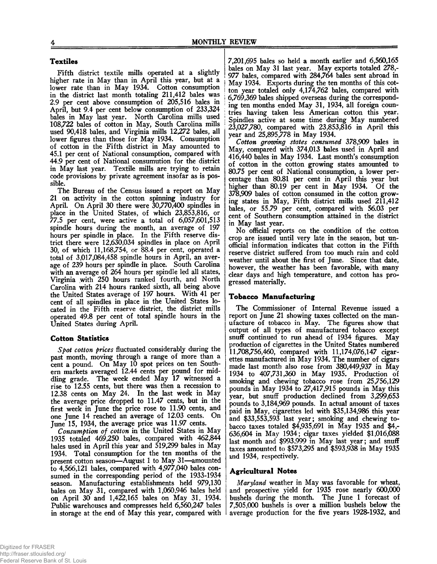# **Textiles**

Fifth district textile mills operated at a slightly higher rate in May than in April this year, but at a lower rate than in May 1934. Cotton consumption in the district last month totaling 211,412 bales was 2.9 per cent above consumption of 205,516 bales in April, but 9.4 per cent below consumption of 233,324 bales in May last year. North Carolina mills used 108,722 bales of cotton in May, South Carolina mills used 90,418 bales, and Virginia mills 12,272 bales, all lower figures than those for May 1934. Consumption of cotton in the Fifth district in May amounted to 45.1 per cent of National consumption, compared with 44.9 per cent of National consumution for the district in May last year. Textile mills are trying to retain code provisions by private agreement insofar as is possible.

The Bureau of the Census issued a report on May 21 on activity in the cotton spinning industry for April. On April 30 there were 30,770,400 spindles in place in the United States, of which 23,853,816, or 77.5 per cent, were active a total of 6,057,601,513 spindle hours during the month, an average of 197 hours per spindle in place. In the Fifth reserve district there were 12,630,034 spindles in place on April 30, of which 11,168,754, or 88.4 per cent, operated a total of 3,017,084,458 spindle hours in April, an average of 239 hours per spindle in place. South Carolina with an average of 264 hours per spindle led all states, Virginia with 250 hours ranked fourth, and North Carolina with 214 hours ranked sixth, all being above the United States average of 197 hours. With 41 per cent of all spindles in place in the United States located in the Fifth reserve district, the district mills operated 49.8 per cent of total spindle hours in the United States during April.

#### **Cotton Statistics**

*Spot cotton prices* fluctuated considerably during the past month, moving through a range of more than a cent a pound. On May 10 spot prices on ten Southern markets averaged 12.44 cents per pound for middling grade. The week ended May 17 witnessed a rise to 12.55 cents, but there was then a recession to 12.38 cents on May 24. In the last week in May the average price dropped to 11.47 cents, but in the first week in June the price rose to 11.90 cents, and one June 14 reached an average of 12.03 cents. On June 15, 1934, the average price was 11.97 cents.

*Consumption of cotton* in the United States in May 1935 totaled 469,250 bales, compared with 462,844 bales used in April this year and 519,299 bales in May 1934. Total consumption for the ten months of the present cotton season*—August 1* to May 31—amounted to 4,566,121 bales, compared with 4,977,040 bales consumed in the corresponding period of the 1933-1934 season. Manufacturing establishments held 979,130 bales on May 31, compared with 1,060,946 bales held on April 30 and 1,422,165 bales on May 31, 1934. Public warehouses and compresses held 6,560,247 bales in storage at the end of May this year, compared with

7,201,695 bales so held a month earlier and 6,560,165 bales on May 31 last year. May exports totaled 278,- 977 bales, compared with 284,764 bales sent abroad in May 1934. Exports during the ten months of this cot- ! ton year totaled only 4,174,762 bales, compared with | 6,769,369 bales shipped overseas during the correspond ing ten months ended May 31, 1934, all foreign countries having taken less American cotton this year. Spindles active at some time during May numbered 23,027,780, compared with 23,853,816 in April this year and 25,895,778 in May 1934.

*Cotton growing states consumed* 378,909 bales in May, compared with 374,013 bales used in April and 416,440 bales in May 1934. Last month's consumption of cotton in the cotton growing states amounted to 80.75 per cent of National consumption, a lower percentage than 80.81 per cent in April this year but higher than 80.19 per cent in May 1934. Of the 378,909 bales of cotton consumed in the cotton growing states in May, Fifth district mills used 211,412 bales, or 55.79 per cent, compared with 56.03 per cent of Southern consumption attained in the district in May last year.

No official reports on the condition of the cotton crop are issued until very late in the season, but unofficial information indicates that cotton in the Fifth reserve district suffered from too much rain and cold weather until about the first of June. Since that date, however, the weather has been favorable, with many clear days and high temperature, and cotton has progressed materially.

#### **Tobacco Manufacturing**

The Commissioner of Internal Revenue issued a report on June 21 showing taxes collected on the manufacture of tobacco in May. The figures show that output of all types of manufactured tobacco except snuff continued to run ahead of 1934 figures. May production of cigarettes in the United States numbered 11,708,756,460, compared with 11,174,076,147 cigarettes manufactured in May 1934. The number of cigars made last month also rose from 380,449,937 in May 1934 to 407,731,360 in May 1935. Production of smoking and chewing tobacco rose from 25,756,129 pounds in May 1934 to 27,417,915 pounds in May this year, but snuff production declined from 3,299,653 pounds to 3,184,969 pounds. In actual amount of taxes paid in May, cigarettes led with \$35,134,986 this year and \$33,553,593 last year; smoking and chewing tobacco taxes totaled \$4,935,691 in May 1935 and \$4,- 636,604 in May 1934; cigar taxes yielded \$1,016,088 last month and \$993,999 in May last year; and snuff taxes amounted to \$573,295 and \$593,938 in May 1935 and 1934, respectively.

# **Agricultural Notes**

*Maryland* weather in May was favorable for wheat, and prospective yield for 1935 rose nearly 600,000 bushels during the month. The June 1 forecast of 7,505,000 bushels is over a million bushels below the average production for the five years 1928-1932, and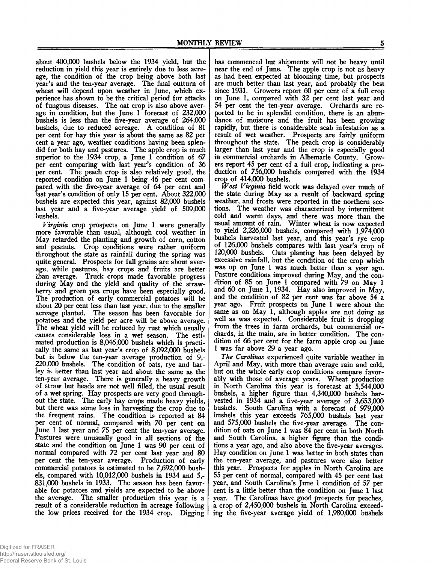about 400,000 bushels below the 1934 yield, but the reduction in yield this year is entirely due to less acreage, the condition of the crop being above both last year's and the ten-year average. The final outturn of wheat will depend upon weather in June, which experience has shown to be the critical period for attacks of fungous diseases. The oat crop is also above average in condition, but the June 1 forecast of 232,000 bushels is less than the five-year average of 264,000 bushels, due to reduced acreage. A condition of 81 per cent for hay this year is about the same as 82 per cent a year ago, weather conditions having been splendid for both hay and pastures. The apple crop is much superior to the 1934 crop, a June 1 condition of 67 per cent comparing with last year's condition of 36 per cent. The peach crop is also relatively good, the reported condition on June 1 being 46 per cent compared with the five-year average of 64 per cent and last year's condition of only 15 per cent. About 322,000 bushels are expected this year, against 82,000 bushels last year and a five-year average yield of 509,000 bushels.

*Virginia* crop prospects on June 1 were generally more favorable than usual, although cool weather in May retarded the planting and growth of corn, cotton and peanuts. Crop conditions were rather uniform throughout the state as rainfall during the spring was quite general. Prospects for fall grains are about average, while pastures, hay crops and fruits are better than average. Truck crops made favorable progress during May and the yield and quality of the strawberry and green pea crops have been especially good. The production of early commercial potatoes will be about 20 per cent less than last year, due to the smaller acreage planted. The season has been favorable for potatoes and the yield per acre will be above average. The wheat yield will be reduced by rust which usually causes considerable loss in a wet season. The estimated production is 8,046,000 bushels which is practically the same as last year's crop of 8,092,000 bushels but is below the ten-year average production of 9,- 220.000 bushels. The condition of oats, rye and barley is *better* than last year and about the same as the ten-year average. There is generally a heavy growth of straw but heads are not well filled, the usual result of a wet spring. Hay prospects are very good throughout the state. The early hay crops made heavy yields, but there was some loss in harvesting the crop due to the frequent rains. The condition is reported at 84 per cent of normal, compared with 70 per cent on June 1 last year and 75 per cent the ten-year average. Pastures were unusually good in all sections of the state and the condition on June 1 was 90 per cent of normal compared with 72 per cent last year and 80 per cent the ten-year average. Production of early commercial potatoes is estimated to be 7,692,000 bushels, compared with 10,012,000 bushels in 1934 and 5,- 831.000 bushels in 1933. The season has been favorable for potatoes and yields are expected to be above the average. The smaller production this year is a result of a considerable reduction in acreage following the low prices received for the 1934 crop. Digging

has commenced but shipments will not be heavy until near the end of June. The apple crop is not as heavy as had been expected at blooming time, but prospects are much better than last year, and probably the best since 1931. Growers report 60 per cent of a full crop on June 1, compared with 32 per cent last year and 54 per cent the ten-year average. Orchards are reported to be in splendid condition, there is an abundance of moisture and the fruit has been growing rapidly, but there is considerable scab infestation as a result of wet weather. Prospects are fairly uniform throughout the state. The peach crop is considerably larger than last year and the crop is especially good in commercial orchards in Albemarle County. Growers report 45 per cent of a full crop, indicating a production of 756,000 bushels compared with the 1934 crop of 414,000 bushels.

*West Virginia* field work was delayed over much of the state during May as a result of backward spring weather, and frosts were reported in the northern sections. The weather was characterized by intermittent cold and warm days, and there was more than the usual amount of rain. Winter wheat is now expected to yield 2,226,000 bushels, compared with 1,974,000 bushels harvested last year, and this year's rye crop of 126,000 bushels compares with last year's crop of 120,000 bushels. Oats planting has been delayed by excessive rainfall, but the condition of the crop which was up on June 1 was much better than a year ago. Pasture conditions improved during May, and the condition of 85 on June 1 compared with 79 on May 1 and 60 on June 1, 1934. Hay also improved in May, and the condition of 82 per cent was far above 54 a year ago. Fruit prospects on June 1 were about the same as on May 1, although apples are not doing as well as was expected. Considerable fruit is dropping from the trees in farm orchards, but commercial orchards, in the main, are in better condition. The condition of 66 per cent for the farm apple crop on June 1 was far above 29 a year ago.

*The Carolinas* experienced quite variable weather in April and May, with more than average rain and cold, but on the whole early crop conditions compare favorably with those of average years. Wheat production in North Carolina this year is forecast at 5,544,000 bushels, a higher figure than 4,340,000 bushels harvested in 1934 and a five-year average of 3,653,000 bushels. South Carolina with a forecast of 979,000 bushels this year exceeds 765,000 bushels last year and 575,000 bushels the five-year average. The condition of oats on June 1 was 84 per cent in both North and South Carolina, a higher figure than the conditions a year ago, and also above the five-year averages. Hay condition on June 1 was better in both states than the ten-year average, and pastures were also better this year. Prospects for apples in North Carolina are 55 per cent of normal, compared with 45 per cent last year, and South Carolina's June 1 condition of 57 per cent is a little better than the condition on June 1 last year. The Carolinas have good prospects for peaches, a crop of 2,450,000 bushels in North Carolina exceeding the five-year average yield of 1,980,000 bushels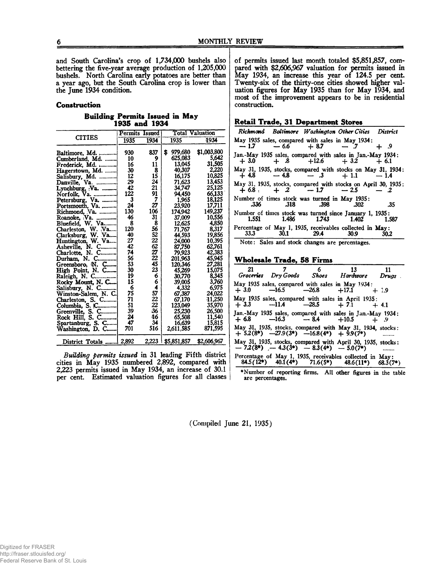and South Carolina's crop of 1,734,000 bushels also bettering the five-year average production of 1,205,000 bushels. North Carolina early potatoes are better than a year ago, but the South Carolina crop is lower than the June 1934 condition.

#### **Construction**

# **Building Permits Issued in May 1935 and 1934**

|                                        | Permits Issued |             |                            | <b>Total Valuation</b> |
|----------------------------------------|----------------|-------------|----------------------------|------------------------|
| <b>CITIES</b>                          | 1935           | 1934        | 1935                       | 1934                   |
|                                        |                |             |                            |                        |
| Baltimore, Md.                         | 930            | 837         | \$<br>979,680              | \$1,003,800            |
| Cumberland, Md.                        | 10             | 9           | 625,083                    | 5,642                  |
| Frederick, Md.                         | 16             | $\bf{11}$   | 13.045                     | 31,505                 |
| Hagerstown, Md.                        | 30             | 8           | 40,307                     | 2,220                  |
|                                        | 12             | 15          | 16,175                     | 10,825                 |
|                                        | 29             | 24          | 71.623                     | 13.453                 |
| Lynchburg, Va.                         | 42             | 21          | 34.747                     | 25,125                 |
| Norfolk, Va.                           | 122            | 91          | 94,450                     | 66.133                 |
| Petersburg, Va.                        | 3              | 7           | 1,965                      | 18.125                 |
|                                        | 24             | 27          | 23,920                     | 17,711                 |
| Portsmouth, Va.                        | 130            | 106         | 174,942                    | 149,237                |
|                                        | 46             | 31          | 37,009                     | 10.556                 |
| Bluefield, W. Va                       | 8              | 8           | 12,625                     | 4,850                  |
| Charleston, W. Va                      | 120            | 56          | 71,767                     | 8,317                  |
|                                        | 40             | 52          | 44,593                     | 19,856                 |
| Clarksburg, W. Va<br>Huntington, W. Va | 27             | 22          | 24,000                     | 10,395                 |
| Asheville, N. C                        | 42             | 62          | 87,750                     | 62,761                 |
| Charlotte, N. C                        | 74             | 27          | 79,923                     | 42,383                 |
| Durham, N. C                           | 56             | 22          | 201,963                    | 45,945                 |
|                                        | 53             | 45          | 120,346                    | 27,281                 |
| Greensboro, N. C<br>High Point, N. C   | 30             | 23          | 45,269                     | 15,075                 |
| Raleigh, N. C                          | 19             |             | 30,770                     | 8.345                  |
|                                        | 15             |             |                            | 3,760                  |
| Rocky Mount, N. C                      | 6              | 6<br>6<br>4 | 39,005                     |                        |
| Salisbury, N. C                        | 75             | 57          | 4,332                      | 6,975                  |
| Winston-Salem, N. C.                   | 71             | $\bar{2}2$  | 67,387                     | 24,022                 |
| Charleston, S. C                       |                |             | 67,170                     | 11,250                 |
| Columbia, S. C                         | 51             | 22          | 123,049                    | 35,970                 |
| Greenville, S. C                       | 39             | 36          | 25,230                     | 26,500                 |
| Rock Hill, S. C                        | 24             | 16          | 65,508                     | 11,540                 |
| Spartanburg, S. C                      | 47             | 34          | 16,639                     | 15,815                 |
| Washington, D. C                       | 701            | 516         | 2,611,585                  | 871.595                |
| District Totals  2,892                 |                |             | <u>2,223   \$5,851,857</u> | \$2,606,967            |

*Building permits issued* in 31 leading Fifth district cities in May 1935 numbered 2,892, compared with 2,223 permits issued in May 1934, an increase of 30.1 per cent. Estimated valuation figures for all classes

of permits issued last month totaled \$5,851,857, compared with \$2,606,967 valuation for permits issued in May 1934, an increase this year of 124.5 per cent. Twenty-six of the thirty-one cities showed higher valuation figures for May 1935 than for May 1934, and most of the improvement appears to be in residential construction.

#### **Retail Trade, 31 Department Stores\_\_\_\_\_\_\_\_\_\_\_**

|                                                               |           |                        | Richmond Baltimore Washington Other Cities District              |        |
|---------------------------------------------------------------|-----------|------------------------|------------------------------------------------------------------|--------|
| May 1935 sales, compared with sales in May 1934:              |           | $-1.7 - 6.6 + 8.7 - 7$ |                                                                  | $+$ .9 |
| Jan.-May 1935 sales, compared with sales in Jan.-May 1934:    |           |                        | $+3.0 + 0.8 + 12.6 + 3.2 + 6.1$                                  |        |
| May 31, 1935, stocks, compared with stocks on May 31, 1934:   |           |                        | $+4.8$ $-4.8$ $-3$ $+1.1$ $-1.4$                                 |        |
| May 31, 1935, stocks, compared with stocks on April 30, 1935; |           |                        | $+6.8$ + 2 - 1.7 - 2.5 - 2                                       |        |
| Number of times stock was turned in May 1935:<br>.336         |           | $.318$ $.398$          | 302                                                              | -35    |
| 1.551                                                         | 1.486     | 1.743 1.402            | Number of times stock was turned since January 1, 1935:          | 1.587  |
| 33.3                                                          | 30.1 29.4 |                        | Percentage of May 1, 1935, receivables collected in May:<br>30.9 | 30.2   |

Note: Sales and stock changes are percentages.

# **W holesale Trade, 58 Firms**

| 21     | $\overline{7}$                                      | 6 <sup>1</sup> | 13<br>Groceries Dry Goods Shoes Hardware Drugs                                                                 | 11         |
|--------|-----------------------------------------------------|----------------|----------------------------------------------------------------------------------------------------------------|------------|
| $+3.0$ | $-16.5$ $-26.8$ $+17.1$                             |                | May 1935 sales, compared with sales in May 1934:                                                               | $+1.9$     |
|        |                                                     |                | May 1935 sales, compared with sales in April 1935:<br>$+3.3$ $-11.4$ $-28.5$ $+7.1$ $+4.1$                     |            |
|        |                                                     |                | Jan.-May 1935 sales, compared with sales in Jan.-May 1934:<br>$+6.8$ $-16.3$ $-8.4$ $+10.5$ $+9$               |            |
|        | $+ 5.2(8^*)$ $-27.9(3^*)$ $-16.8(4^*)$ $+ 9.9(7^*)$ |                | May 31, 1935, stocks, compared with May 31, 1934, stocks:                                                      |            |
|        |                                                     |                | May 31, 1935, stocks, compared with April 30, 1935, stocks:<br>$-7.2(8^*)$ $-4.3(3^*)$ $-8.3(4^*)$ $-5.0(7^*)$ |            |
|        |                                                     |                | Percentage of May 1, 1935, receivables collected in May:<br>$84.5(12^*)$ $40.1(4^*)$ $71.6(5^*)$ $48.6(11^*)$  | $68.3(7*)$ |
|        |                                                     |                | *Number of reporting firms All other figures in the table                                                      |            |

♦Number of reporting firms, are percentages. All other figures in the table

(Compiled June 21, 1935)